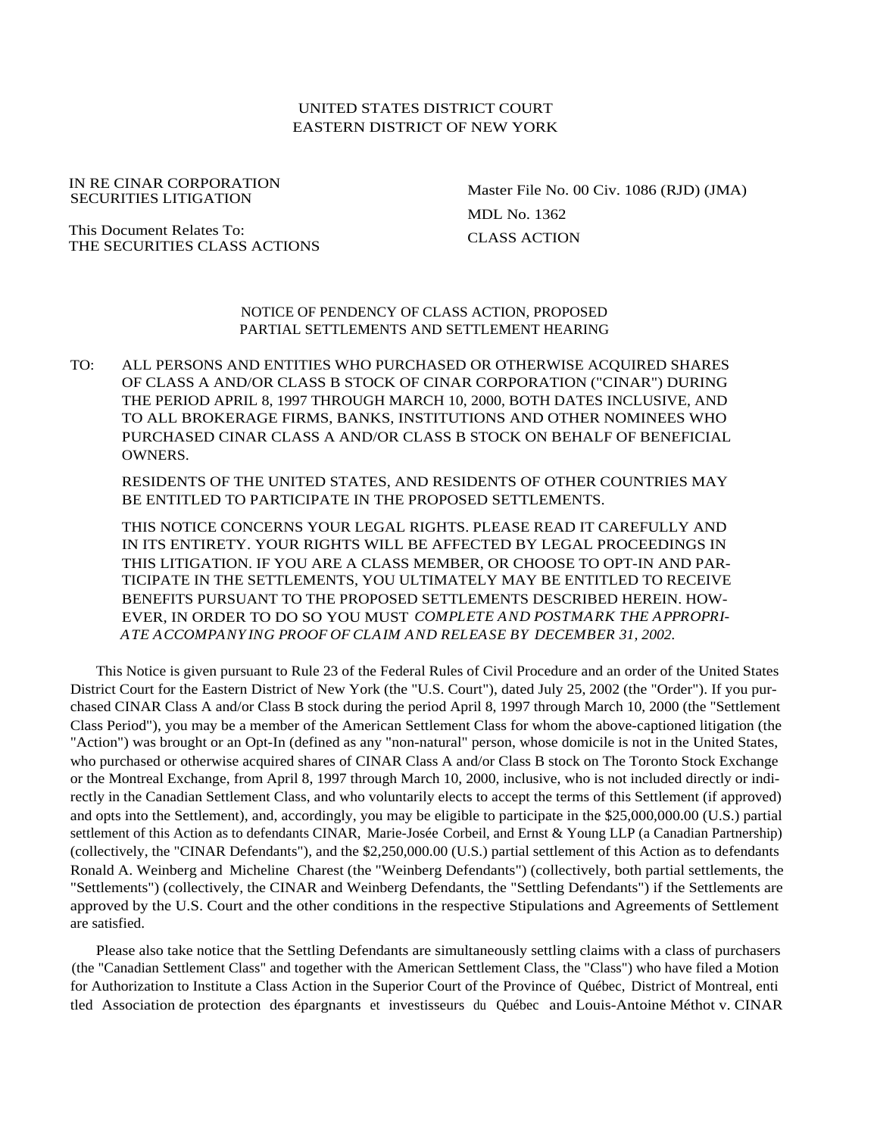# UNITED STATES DISTRICT COURT EASTERN DISTRICT OF NEW YORK

IN RE CINAR CORPORATION SECURITIES LITIGATION

This Document Relates To: THE SECURITIES CLASS ACTIONS Master File No. 00 Civ. 1086 (RJD) (JMA) MDL No. 1362 CLASS ACTION

NOTICE OF PENDENCY OF CLASS ACTION, PROPOSED PARTIAL SETTLEMENTS AND SETTLEMENT HEARING

TO: ALL PERSONS AND ENTITIES WHO PURCHASED OR OTHERWISE ACQUIRED SHARES OF CLASS A AND/OR CLASS B STOCK OF CINAR CORPORATION ("CINAR") DURING THE PERIOD APRIL 8, 1997 THROUGH MARCH 10, 2000, BOTH DATES INCLUSIVE, AND TO ALL BROKERAGE FIRMS, BANKS, INSTITUTIONS AND OTHER NOMINEES WHO PURCHASED CINAR CLASS A AND/OR CLASS B STOCK ON BEHALF OF BENEFICIAL OWNERS.

RESIDENTS OF THE UNITED STATES, AND RESIDENTS OF OTHER COUNTRIES MAY BE ENTITLED TO PARTICIPATE IN THE PROPOSED SETTLEMENTS.

THIS NOTICE CONCERNS YOUR LEGAL RIGHTS. PLEASE READ IT CAREFULLY AND IN ITS ENTIRETY. YOUR RIGHTS WILL BE AFFECTED BY LEGAL PROCEEDINGS IN THIS LITIGATION. IF YOU ARE A CLASS MEMBER, OR CHOOSE TO OPT-IN AND PAR-TICIPATE IN THE SETTLEMENTS, YOU ULTIMATELY MAY BE ENTITLED TO RECEIVE BENEFITS PURSUANT TO THE PROPOSED SETTLEMENTS DESCRIBED HEREIN. HOW-EVER, IN ORDER TO DO SO YOU MUST *COMPLETE AND POSTMARK THE APPROPRI-ATE ACCOMPANYING PROOF OF CLAIM AND RELEASE BY DECEMBER 31, 2002.*

This Notice is given pursuant to Rule 23 of the Federal Rules of Civil Procedure and an order of the United States District Court for the Eastern District of New York (the "U.S. Court"), dated July 25, 2002 (the "Order"). If you purchased CINAR Class A and/or Class B stock during the period April 8, 1997 through March 10, 2000 (the "Settlement Class Period"), you may be a member of the American Settlement Class for whom the above-captioned litigation (the "Action") was brought or an Opt-In (defined as any "non-natural" person, whose domicile is not in the United States, who purchased or otherwise acquired shares of CINAR Class A and/or Class B stock on The Toronto Stock Exchange or the Montreal Exchange, from April 8, 1997 through March 10, 2000, inclusive, who is not included directly or indirectly in the Canadian Settlement Class, and who voluntarily elects to accept the terms of this Settlement (if approved) and opts into the Settlement), and, accordingly, you may be eligible to participate in the \$25,000,000.00 (U.S.) partial settlement of this Action as to defendants CINAR, Marie-Josée Corbeil, and Ernst & Young LLP (a Canadian Partnership) (collectively, the "CINAR Defendants"), and the \$2,250,000.00 (U.S.) partial settlement of this Action as to defendants Ronald A. Weinberg and Micheline Charest (the "Weinberg Defendants") (collectively, both partial settlements, the "Settlements") (collectively, the CINAR and Weinberg Defendants, the "Settling Defendants") if the Settlements are approved by the U.S. Court and the other conditions in the respective Stipulations and Agreements of Settlement are satisfied.

Please also take notice that the Settling Defendants are simultaneously settling claims with a class of purchasers (the "Canadian Settlement Class" and together with the American Settlement Class, the "Class") who have filed a Motion for Authorization to Institute a Class Action in the Superior Court of the Province of Québec, District of Montreal, enti tled Association de protection des épargnants et investisseurs du Québec and Louis-Antoine Méthot v. CINAR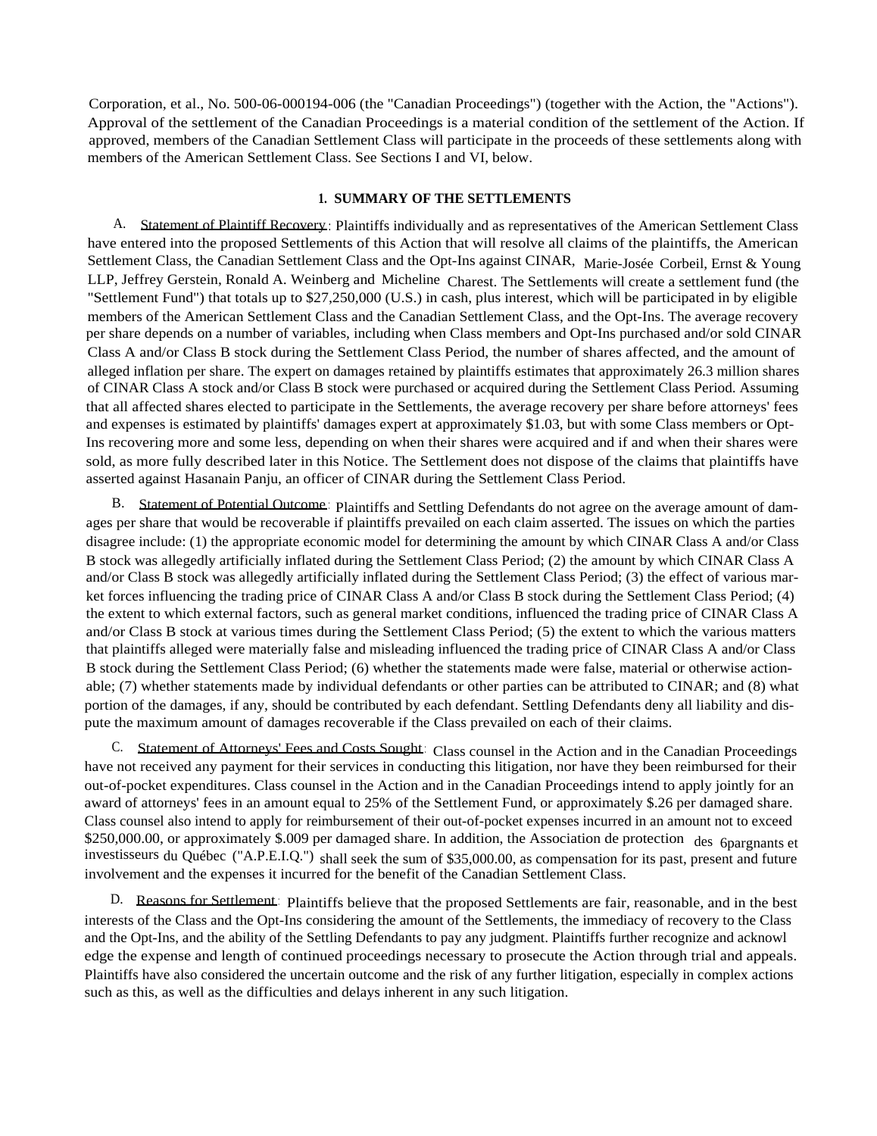Corporation, et al., No. 500-06-000194-006 (the "Canadian Proceedings") (together with the Action, the "Actions"). Approval of the settlement of the Canadian Proceedings is a material condition of the settlement of the Action. If approved, members of the Canadian Settlement Class will participate in the proceeds of these settlements along with members of the American Settlement Class. See Sections I and VI, below.

## **1. SUMMARY OF THE SETTLEMENTS**

A. Statement of Plaintiff Recovery: Plaintiffs individually and as representatives of the American Settlement Class have entered into the proposed Settlements of this Action that will resolve all claims of the plaintiffs, the American Settlement Class, the Canadian Settlement Class and the Opt-Ins against CINAR, Marie-Josée Corbeil, Ernst & Young LLP, Jeffrey Gerstein, Ronald A. Weinberg and Micheline Charest. The Settlements will create a settlement fund (the "Settlement Fund") that totals up to \$27,250,000 (U.S.) in cash, plus interest, which will be participated in by eligible members of the American Settlement Class and the Canadian Settlement Class, and the Opt-Ins. The average recovery per share depends on a number of variables, including when Class members and Opt-Ins purchased and/or sold CINAR Class A and/or Class B stock during the Settlement Class Period, the number of shares affected, and the amount of alleged inflation per share. The expert on damages retained by plaintiffs estimates that approximately 26.3 million shares of CINAR Class A stock and/or Class B stock were purchased or acquired during the Settlement Class Period. Assuming that all affected shares elected to participate in the Settlements, the average recovery per share before attorneys' fees and expenses is estimated by plaintiffs' damages expert at approximately \$1.03, but with some Class members or Opt-Ins recovering more and some less, depending on when their shares were acquired and if and when their shares were sold, as more fully described later in this Notice. The Settlement does not dispose of the claims that plaintiffs have asserted against Hasanain Panju, an officer of CINAR during the Settlement Class Period.

B. Statement of Potential Outcome: Plaintiffs and Settling Defendants do not agree on the average amount of damages per share that would be recoverable if plaintiffs prevailed on each claim asserted. The issues on which the parties disagree include: (1) the appropriate economic model for determining the amount by which CINAR Class A and/or Class B stock was allegedly artificially inflated during the Settlement Class Period; (2) the amount by which CINAR Class A and/or Class B stock was allegedly artificially inflated during the Settlement Class Period; (3) the effect of various market forces influencing the trading price of CINAR Class A and/or Class B stock during the Settlement Class Period; (4) the extent to which external factors, such as general market conditions, influenced the trading price of CINAR Class A and/or Class B stock at various times during the Settlement Class Period; (5) the extent to which the various matters that plaintiffs alleged were materially false and misleading influenced the trading price of CINAR Class A and/or Class B stock during the Settlement Class Period; (6) whether the statements made were false, material or otherwise actionable; (7) whether statements made by individual defendants or other parties can be attributed to CINAR; and (8) what portion of the damages, if any, should be contributed by each defendant. Settling Defendants deny all liability and dispute the maximum amount of damages recoverable if the Class prevailed on each of their claims.

C. Statement of Attorneys' Fees and Costs Sought: Class counsel in the Action and in the Canadian Proceedings have not received any payment for their services in conducting this litigation, nor have they been reimbursed for their out-of-pocket expenditures. Class counsel in the Action and in the Canadian Proceedings intend to apply jointly for an award of attorneys' fees in an amount equal to 25% of the Settlement Fund, or approximately \$.26 per damaged share. Class counsel also intend to apply for reimbursement of their out-of-pocket expenses incurred in an amount not to exceed \$250,000.00, or approximately \$.009 per damaged share. In addition, the Association de protection des 6pargnants et investisseurs du Québec ("A.P.E.I.Q.") shall seek the sum of \$35,000.00, as compensation for its past, present and future involvement and the expenses it incurred for the benefit of the Canadian Settlement Class.

D. Reasons for Settlement: Plaintiffs believe that the proposed Settlements are fair, reasonable, and in the best interests of the Class and the Opt-Ins considering the amount of the Settlements, the immediacy of recovery to the Class and the Opt-Ins, and the ability of the Settling Defendants to pay any judgment. Plaintiffs further recognize and acknowl edge the expense and length of continued proceedings necessary to prosecute the Action through trial and appeals. Plaintiffs have also considered the uncertain outcome and the risk of any further litigation, especially in complex actions such as this, as well as the difficulties and delays inherent in any such litigation.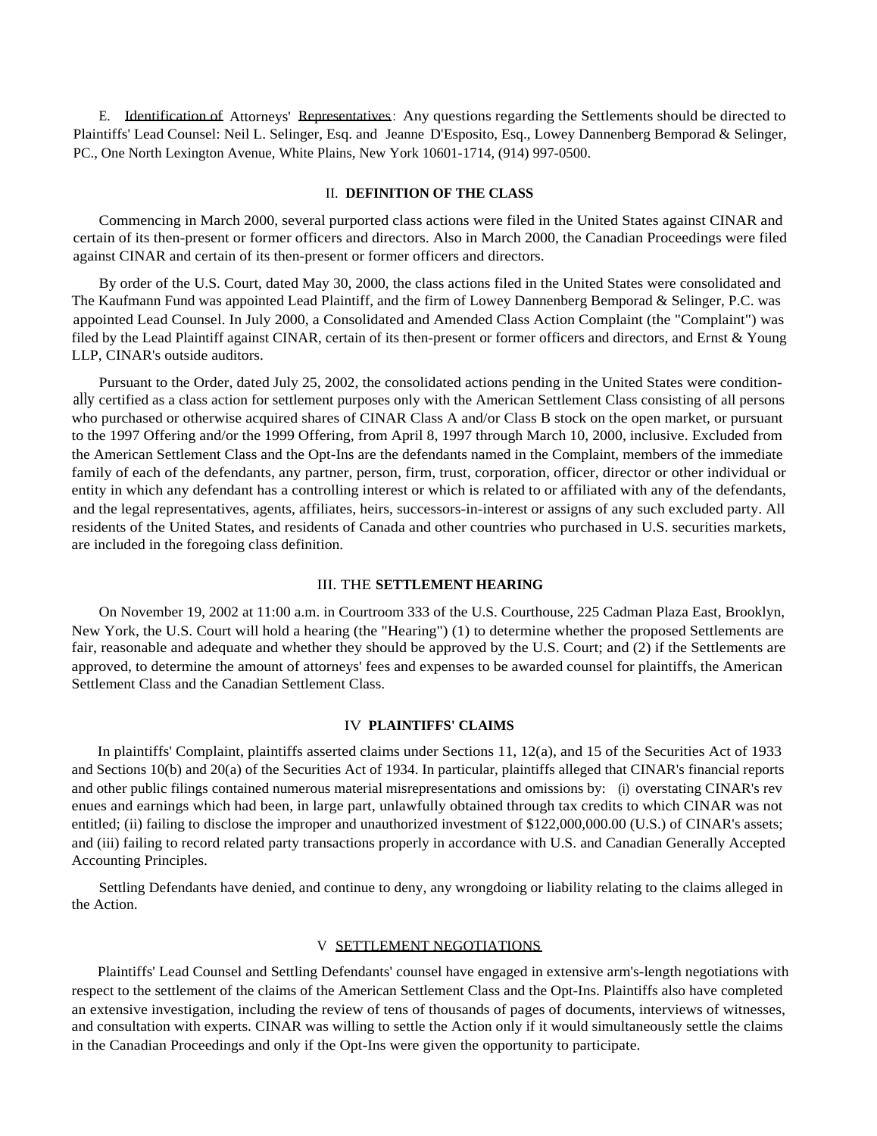E. Identification of Attorneys' Representatives: Any questions regarding the Settlements should be directed to Plaintiffs' Lead Counsel: Neil L. Selinger, Esq. and Jeanne D'Esposito, Esq., Lowey Dannenberg Bemporad & Selinger, PC., One North Lexington Avenue, White Plains, New York 10601-1714, (914) 997-0500.

#### II. **DEFINITION OF THE CLASS**

Commencing in March 2000, several purported class actions were filed in the United States against CINAR and certain of its then-present or former officers and directors. Also in March 2000, the Canadian Proceedings were filed against CINAR and certain of its then-present or former officers and directors.

By order of the U.S. Court, dated May 30, 2000, the class actions filed in the United States were consolidated and The Kaufmann Fund was appointed Lead Plaintiff, and the firm of Lowey Dannenberg Bemporad & Selinger, P.C. was appointed Lead Counsel. In July 2000, a Consolidated and Amended Class Action Complaint (the "Complaint") was filed by the Lead Plaintiff against CINAR, certain of its then-present or former officers and directors, and Ernst & Young LLP, CINAR's outside auditors.

Pursuant to the Order, dated July 25, 2002, the consolidated actions pending in the United States were conditionally certified as a class action for settlement purposes only with the American Settlement Class consisting of all persons who purchased or otherwise acquired shares of CINAR Class A and/or Class B stock on the open market, or pursuant to the 1997 Offering and/or the 1999 Offering, from April 8, 1997 through March 10, 2000, inclusive. Excluded from the American Settlement Class and the Opt-Ins are the defendants named in the Complaint, members of the immediate family of each of the defendants, any partner, person, firm, trust, corporation, officer, director or other individual or entity in which any defendant has a controlling interest or which is related to or affiliated with any of the defendants, and the legal representatives, agents, affiliates, heirs, successors-in-interest or assigns of any such excluded party. All residents of the United States, and residents of Canada and other countries who purchased in U.S. securities markets, are included in the foregoing class definition.

## III. THE **SETTLEMENT HEARING**

On November 19, 2002 at 11:00 a.m. in Courtroom 333 of the U.S. Courthouse, 225 Cadman Plaza East, Brooklyn, New York, the U.S. Court will hold a hearing (the "Hearing") (1) to determine whether the proposed Settlements are fair, reasonable and adequate and whether they should be approved by the U.S. Court; and (2) if the Settlements are approved, to determine the amount of attorneys' fees and expenses to be awarded counsel for plaintiffs, the American Settlement Class and the Canadian Settlement Class.

## IV **PLAINTIFFS' CLAIMS**

In plaintiffs' Complaint, plaintiffs asserted claims under Sections 11, 12(a), and 15 of the Securities Act of 1933 and Sections 10(b) and 20(a) of the Securities Act of 1934. In particular, plaintiffs alleged that CINAR's financial reports and other public filings contained numerous material misrepresentations and omissions by: (i) overstating CINAR's rev enues and earnings which had been, in large part, unlawfully obtained through tax credits to which CINAR was not entitled; (ii) failing to disclose the improper and unauthorized investment of \$122,000,000.00 (U.S.) of CINAR's assets; and (iii) failing to record related party transactions properly in accordance with U.S. and Canadian Generally Accepted Accounting Principles.

Settling Defendants have denied, and continue to deny, any wrongdoing or liability relating to the claims alleged in the Action.

#### V SETTLEMENT NEGOTIATIONS

Plaintiffs' Lead Counsel and Settling Defendants' counsel have engaged in extensive arm's-length negotiations with respect to the settlement of the claims of the American Settlement Class and the Opt-Ins. Plaintiffs also have completed an extensive investigation, including the review of tens of thousands of pages of documents, interviews of witnesses, and consultation with experts. CINAR was willing to settle the Action only if it would simultaneously settle the claims in the Canadian Proceedings and only if the Opt-Ins were given the opportunity to participate.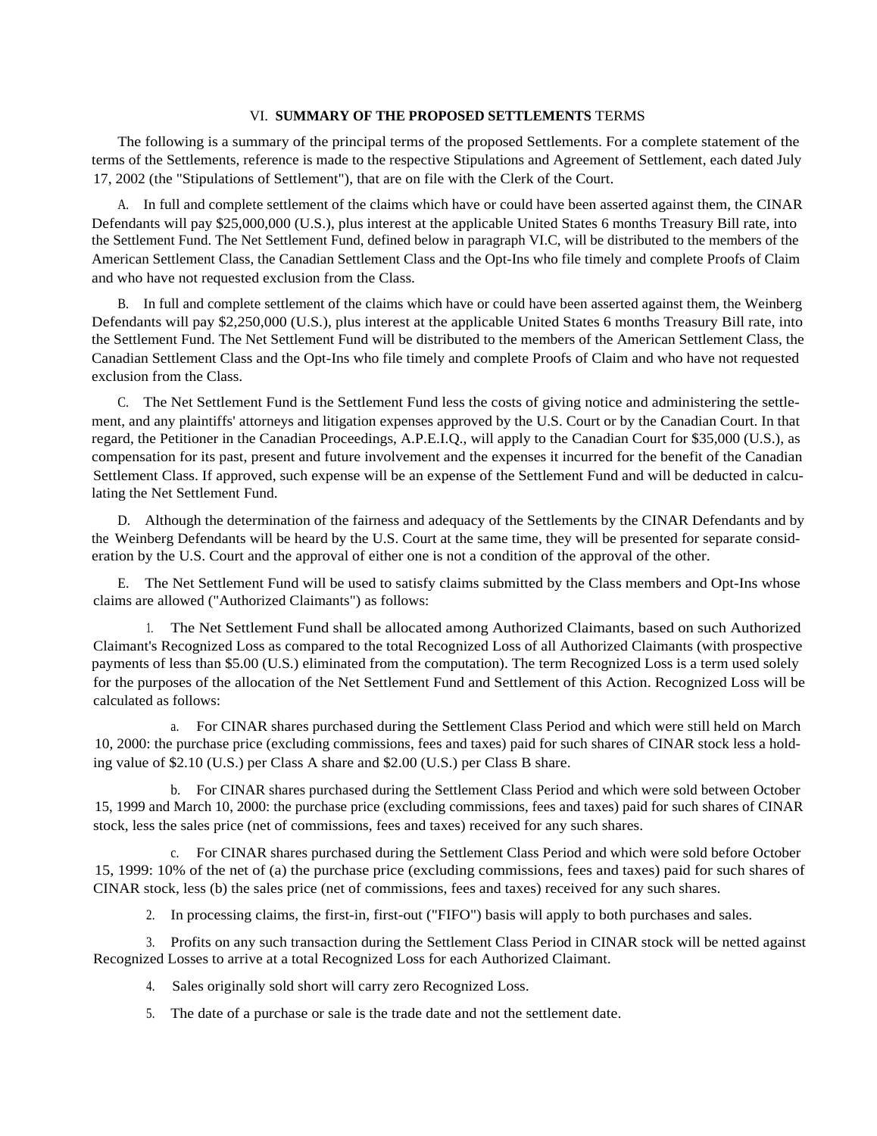## VI. **SUMMARY OF THE PROPOSED SETTLEMENTS** TERMS

The following is a summary of the principal terms of the proposed Settlements. For a complete statement of the terms of the Settlements, reference is made to the respective Stipulations and Agreement of Settlement, each dated July 17, 2002 (the "Stipulations of Settlement"), that are on file with the Clerk of the Court.

A. In full and complete settlement of the claims which have or could have been asserted against them, the CINAR Defendants will pay \$25,000,000 (U.S.), plus interest at the applicable United States 6 months Treasury Bill rate, into the Settlement Fund. The Net Settlement Fund, defined below in paragraph VI.C, will be distributed to the members of the American Settlement Class, the Canadian Settlement Class and the Opt-Ins who file timely and complete Proofs of Claim and who have not requested exclusion from the Class.

B. In full and complete settlement of the claims which have or could have been asserted against them, the Weinberg Defendants will pay \$2,250,000 (U.S.), plus interest at the applicable United States 6 months Treasury Bill rate, into the Settlement Fund. The Net Settlement Fund will be distributed to the members of the American Settlement Class, the Canadian Settlement Class and the Opt-Ins who file timely and complete Proofs of Claim and who have not requested exclusion from the Class.

C. The Net Settlement Fund is the Settlement Fund less the costs of giving notice and administering the settlement, and any plaintiffs' attorneys and litigation expenses approved by the U.S. Court or by the Canadian Court. In that regard, the Petitioner in the Canadian Proceedings, A.P.E.I.Q., will apply to the Canadian Court for \$35,000 (U.S.), as compensation for its past, present and future involvement and the expenses it incurred for the benefit of the Canadian Settlement Class. If approved, such expense will be an expense of the Settlement Fund and will be deducted in calculating the Net Settlement Fund.

D. Although the determination of the fairness and adequacy of the Settlements by the CINAR Defendants and by the Weinberg Defendants will be heard by the U.S. Court at the same time, they will be presented for separate consideration by the U.S. Court and the approval of either one is not a condition of the approval of the other.

E. The Net Settlement Fund will be used to satisfy claims submitted by the Class members and Opt-Ins whose claims are allowed ("Authorized Claimants") as follows:

1. The Net Settlement Fund shall be allocated among Authorized Claimants, based on such Authorized Claimant's Recognized Loss as compared to the total Recognized Loss of all Authorized Claimants (with prospective payments of less than \$5.00 (U.S.) eliminated from the computation). The term Recognized Loss is a term used solely for the purposes of the allocation of the Net Settlement Fund and Settlement of this Action. Recognized Loss will be calculated as follows:

a. For CINAR shares purchased during the Settlement Class Period and which were still held on March 10, 2000: the purchase price (excluding commissions, fees and taxes) paid for such shares of CINAR stock less a holding value of \$2.10 (U.S.) per Class A share and \$2.00 (U.S.) per Class B share.

b. For CINAR shares purchased during the Settlement Class Period and which were sold between October 15, 1999 and March 10, 2000: the purchase price (excluding commissions, fees and taxes) paid for such shares of CINAR stock, less the sales price (net of commissions, fees and taxes) received for any such shares.

c. For CINAR shares purchased during the Settlement Class Period and which were sold before October 15, 1999: 10% of the net of (a) the purchase price (excluding commissions, fees and taxes) paid for such shares of CINAR stock, less (b) the sales price (net of commissions, fees and taxes) received for any such shares.

2. In processing claims, the first-in, first-out ("FIFO") basis will apply to both purchases and sales.

3. Profits on any such transaction during the Settlement Class Period in CINAR stock will be netted against Recognized Losses to arrive at a total Recognized Loss for each Authorized Claimant.

4. Sales originally sold short will carry zero Recognized Loss.

5. The date of a purchase or sale is the trade date and not the settlement date.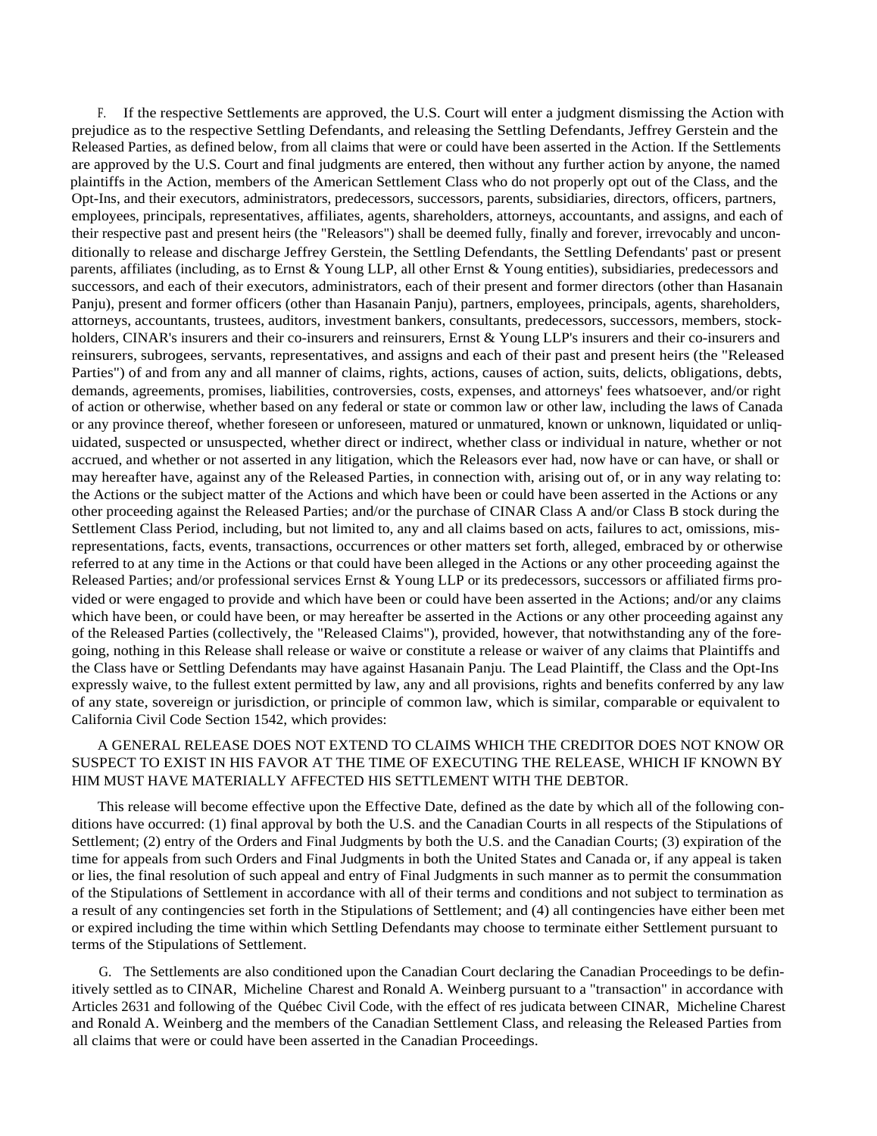F. If the respective Settlements are approved, the U.S. Court will enter a judgment dismissing the Action with prejudice as to the respective Settling Defendants, and releasing the Settling Defendants, Jeffrey Gerstein and the Released Parties, as defined below, from all claims that were or could have been asserted in the Action. If the Settlements are approved by the U.S. Court and final judgments are entered, then without any further action by anyone, the named plaintiffs in the Action, members of the American Settlement Class who do not properly opt out of the Class, and the Opt-Ins, and their executors, administrators, predecessors, successors, parents, subsidiaries, directors, officers, partners, employees, principals, representatives, affiliates, agents, shareholders, attorneys, accountants, and assigns, and each of their respective past and present heirs (the "Releasors") shall be deemed fully, finally and forever, irrevocably and unconditionally to release and discharge Jeffrey Gerstein, the Settling Defendants, the Settling Defendants' past or present parents, affiliates (including, as to Ernst & Young LLP, all other Ernst & Young entities), subsidiaries, predecessors and successors, and each of their executors, administrators, each of their present and former directors (other than Hasanain Panju), present and former officers (other than Hasanain Panju), partners, employees, principals, agents, shareholders, attorneys, accountants, trustees, auditors, investment bankers, consultants, predecessors, successors, members, stockholders, CINAR's insurers and their co-insurers and reinsurers, Ernst & Young LLP's insurers and their co-insurers and reinsurers, subrogees, servants, representatives, and assigns and each of their past and present heirs (the "Released Parties") of and from any and all manner of claims, rights, actions, causes of action, suits, delicts, obligations, debts, demands, agreements, promises, liabilities, controversies, costs, expenses, and attorneys' fees whatsoever, and/or right of action or otherwise, whether based on any federal or state or common law or other law, including the laws of Canada or any province thereof, whether foreseen or unforeseen, matured or unmatured, known or unknown, liquidated or unliquidated, suspected or unsuspected, whether direct or indirect, whether class or individual in nature, whether or not accrued, and whether or not asserted in any litigation, which the Releasors ever had, now have or can have, or shall or may hereafter have, against any of the Released Parties, in connection with, arising out of, or in any way relating to: the Actions or the subject matter of the Actions and which have been or could have been asserted in the Actions or any other proceeding against the Released Parties; and/or the purchase of CINAR Class A and/or Class B stock during the Settlement Class Period, including, but not limited to, any and all claims based on acts, failures to act, omissions, misrepresentations, facts, events, transactions, occurrences or other matters set forth, alleged, embraced by or otherwise referred to at any time in the Actions or that could have been alleged in the Actions or any other proceeding against the Released Parties; and/or professional services Ernst & Young LLP or its predecessors, successors or affiliated firms provided or were engaged to provide and which have been or could have been asserted in the Actions; and/or any claims which have been, or could have been, or may hereafter be asserted in the Actions or any other proceeding against any of the Released Parties (collectively, the "Released Claims"), provided, however, that notwithstanding any of the foregoing, nothing in this Release shall release or waive or constitute a release or waiver of any claims that Plaintiffs and the Class have or Settling Defendants may have against Hasanain Panju. The Lead Plaintiff, the Class and the Opt-Ins expressly waive, to the fullest extent permitted by law, any and all provisions, rights and benefits conferred by any law of any state, sovereign or jurisdiction, or principle of common law, which is similar, comparable or equivalent to California Civil Code Section 1542, which provides:

# A GENERAL RELEASE DOES NOT EXTEND TO CLAIMS WHICH THE CREDITOR DOES NOT KNOW OR SUSPECT TO EXIST IN HIS FAVOR AT THE TIME OF EXECUTING THE RELEASE, WHICH IF KNOWN BY HIM MUST HAVE MATERIALLY AFFECTED HIS SETTLEMENT WITH THE DEBTOR.

This release will become effective upon the Effective Date, defined as the date by which all of the following conditions have occurred: (1) final approval by both the U.S. and the Canadian Courts in all respects of the Stipulations of Settlement; (2) entry of the Orders and Final Judgments by both the U.S. and the Canadian Courts; (3) expiration of the time for appeals from such Orders and Final Judgments in both the United States and Canada or, if any appeal is taken or lies, the final resolution of such appeal and entry of Final Judgments in such manner as to permit the consummation of the Stipulations of Settlement in accordance with all of their terms and conditions and not subject to termination as a result of any contingencies set forth in the Stipulations of Settlement; and (4) all contingencies have either been met or expired including the time within which Settling Defendants may choose to terminate either Settlement pursuant to terms of the Stipulations of Settlement.

G. The Settlements are also conditioned upon the Canadian Court declaring the Canadian Proceedings to be definitively settled as to CINAR, Micheline Charest and Ronald A. Weinberg pursuant to a "transaction" in accordance with Articles 2631 and following of the Québec Civil Code, with the effect of res judicata between CINAR, Micheline Charest and Ronald A. Weinberg and the members of the Canadian Settlement Class, and releasing the Released Parties from all claims that were or could have been asserted in the Canadian Proceedings.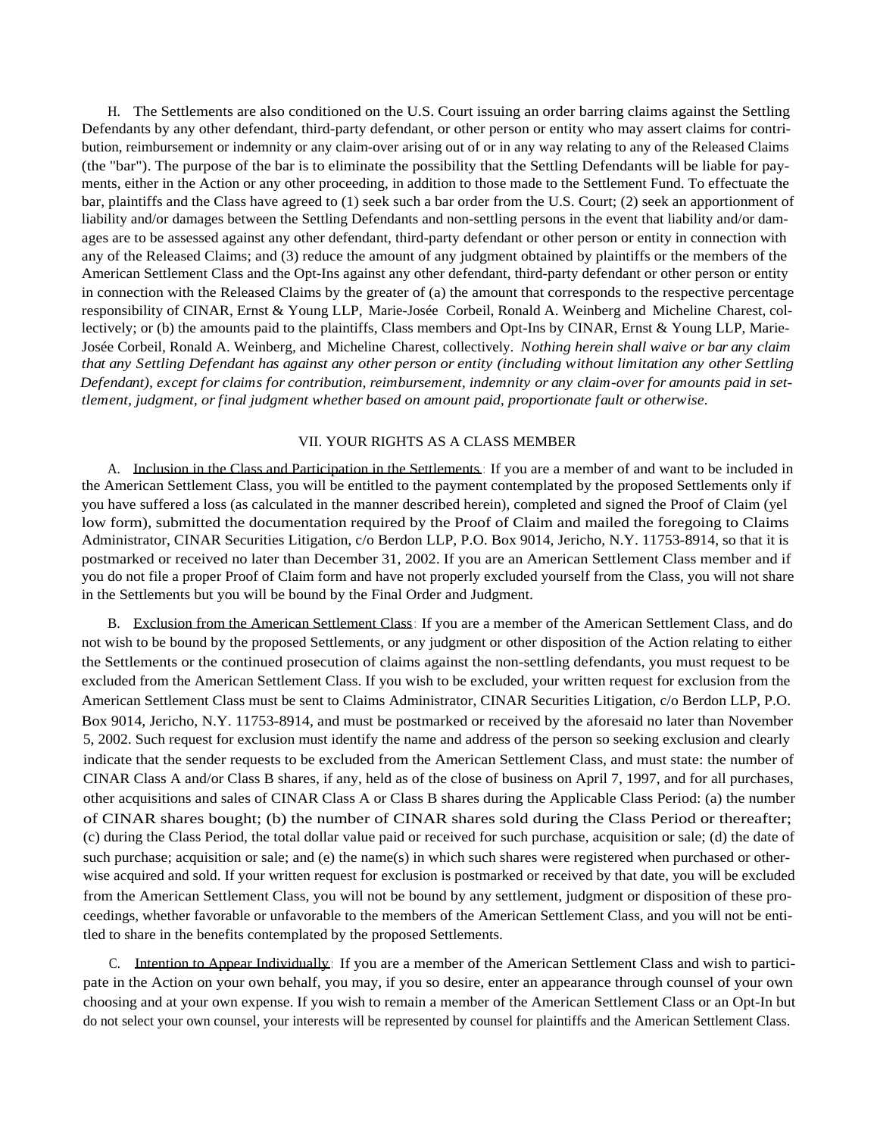H. The Settlements are also conditioned on the U.S. Court issuing an order barring claims against the Settling Defendants by any other defendant, third-party defendant, or other person or entity who may assert claims for contribution, reimbursement or indemnity or any claim-over arising out of or in any way relating to any of the Released Claims (the "bar"). The purpose of the bar is to eliminate the possibility that the Settling Defendants will be liable for payments, either in the Action or any other proceeding, in addition to those made to the Settlement Fund. To effectuate the bar, plaintiffs and the Class have agreed to (1) seek such a bar order from the U.S. Court; (2) seek an apportionment of liability and/or damages between the Settling Defendants and non-settling persons in the event that liability and/or damages are to be assessed against any other defendant, third-party defendant or other person or entity in connection with any of the Released Claims; and (3) reduce the amount of any judgment obtained by plaintiffs or the members of the American Settlement Class and the Opt-Ins against any other defendant, third-party defendant or other person or entity in connection with the Released Claims by the greater of (a) the amount that corresponds to the respective percentage responsibility of CINAR, Ernst & Young LLP, Marie-Josée Corbeil, Ronald A. Weinberg and Micheline Charest, collectively; or (b) the amounts paid to the plaintiffs, Class members and Opt-Ins by CINAR, Ernst & Young LLP, Marie-Josée Corbeil, Ronald A. Weinberg, and Micheline Charest, collectively. *Nothing herein shall waive or bar any claim that any Settling Defendant has against any other person or entity (including without limitation any other Settling Defendant), except for claims for contribution, reimbursement, indemnity or any claim-over for amounts paid in settlement, judgment, or final judgment whether based on amount paid, proportionate fault or otherwise.*

## VII. YOUR RIGHTS AS A CLASS MEMBER

A. Inclusion in the Class and Participation in the Settlements : If you are a member of and want to be included in the American Settlement Class, you will be entitled to the payment contemplated by the proposed Settlements only if you have suffered a loss (as calculated in the manner described herein), completed and signed the Proof of Claim (yel low form), submitted the documentation required by the Proof of Claim and mailed the foregoing to Claims Administrator, CINAR Securities Litigation, c/o Berdon LLP, P.O. Box 9014, Jericho, N.Y. 11753-8914, so that it is postmarked or received no later than December 31, 2002. If you are an American Settlement Class member and if you do not file a proper Proof of Claim form and have not properly excluded yourself from the Class, you will not share in the Settlements but you will be bound by the Final Order and Judgment.

B. Exclusion from the American Settlement Class: If you are a member of the American Settlement Class, and do not wish to be bound by the proposed Settlements, or any judgment or other disposition of the Action relating to either the Settlements or the continued prosecution of claims against the non-settling defendants, you must request to be excluded from the American Settlement Class. If you wish to be excluded, your written request for exclusion from the American Settlement Class must be sent to Claims Administrator, CINAR Securities Litigation, c/o Berdon LLP, P.O. Box 9014, Jericho, N.Y. 11753-8914, and must be postmarked or received by the aforesaid no later than November 5, 2002. Such request for exclusion must identify the name and address of the person so seeking exclusion and clearly indicate that the sender requests to be excluded from the American Settlement Class, and must state: the number of CINAR Class A and/or Class B shares, if any, held as of the close of business on April 7, 1997, and for all purchases, other acquisitions and sales of CINAR Class A or Class B shares during the Applicable Class Period: (a) the number of CINAR shares bought; (b) the number of CINAR shares sold during the Class Period or thereafter; (c) during the Class Period, the total dollar value paid or received for such purchase, acquisition or sale; (d) the date of such purchase; acquisition or sale; and (e) the name(s) in which such shares were registered when purchased or otherwise acquired and sold. If your written request for exclusion is postmarked or received by that date, you will be excluded from the American Settlement Class, you will not be bound by any settlement, judgment or disposition of these proceedings, whether favorable or unfavorable to the members of the American Settlement Class, and you will not be entitled to share in the benefits contemplated by the proposed Settlements.

C. Intention to Appear Individually: If you are a member of the American Settlement Class and wish to participate in the Action on your own behalf, you may, if you so desire, enter an appearance through counsel of your own choosing and at your own expense. If you wish to remain a member of the American Settlement Class or an Opt-In but do not select your own counsel, your interests will be represented by counsel for plaintiffs and the American Settlement Class.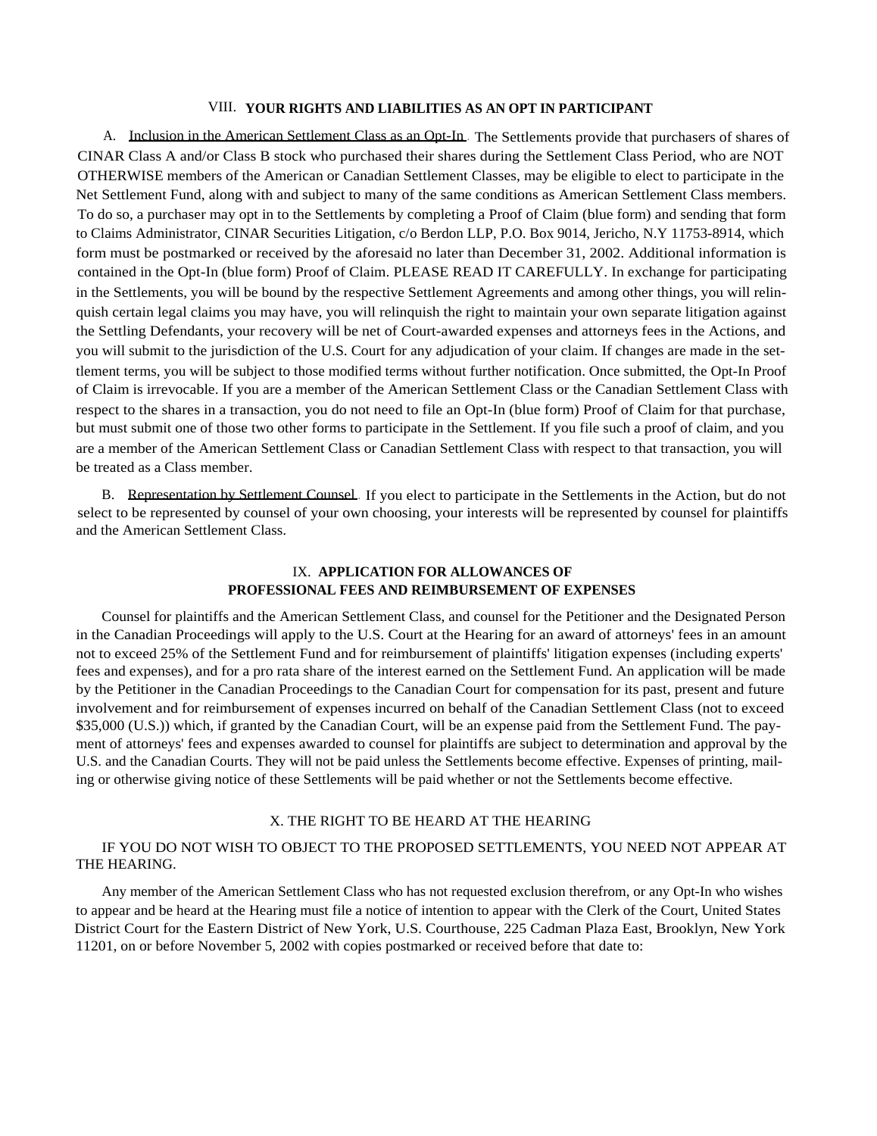#### VIII. **YOUR RIGHTS AND LIABILITIES AS AN OPT IN PARTICIPANT**

A. Inclusion in the American Settlement Class as an Opt-In. The Settlements provide that purchasers of shares of CINAR Class A and/or Class B stock who purchased their shares during the Settlement Class Period, who are NOT OTHERWISE members of the American or Canadian Settlement Classes, may be eligible to elect to participate in the Net Settlement Fund, along with and subject to many of the same conditions as American Settlement Class members. To do so, a purchaser may opt in to the Settlements by completing a Proof of Claim (blue form) and sending that form to Claims Administrator, CINAR Securities Litigation, c/o Berdon LLP, P.O. Box 9014, Jericho, N.Y 11753-8914, which form must be postmarked or received by the aforesaid no later than December 31, 2002. Additional information is contained in the Opt-In (blue form) Proof of Claim. PLEASE READ IT CAREFULLY. In exchange for participating in the Settlements, you will be bound by the respective Settlement Agreements and among other things, you will relinquish certain legal claims you may have, you will relinquish the right to maintain your own separate litigation against the Settling Defendants, your recovery will be net of Court-awarded expenses and attorneys fees in the Actions, and you will submit to the jurisdiction of the U.S. Court for any adjudication of your claim. If changes are made in the settlement terms, you will be subject to those modified terms without further notification. Once submitted, the Opt-In Proof of Claim is irrevocable. If you are a member of the American Settlement Class or the Canadian Settlement Class with respect to the shares in a transaction, you do not need to file an Opt-In (blue form) Proof of Claim for that purchase, but must submit one of those two other forms to participate in the Settlement. If you file such a proof of claim, and you are a member of the American Settlement Class or Canadian Settlement Class with respect to that transaction, you will be treated as a Class member.

B. Representation by Settlement Counsel . If you elect to participate in the Settlements in the Action, but do not select to be represented by counsel of your own choosing, your interests will be represented by counsel for plaintiffs and the American Settlement Class.

## IX. **APPLICATION FOR ALLOWANCES OF PROFESSIONAL FEES AND REIMBURSEMENT OF EXPENSES**

Counsel for plaintiffs and the American Settlement Class, and counsel for the Petitioner and the Designated Person in the Canadian Proceedings will apply to the U.S. Court at the Hearing for an award of attorneys' fees in an amount not to exceed 25% of the Settlement Fund and for reimbursement of plaintiffs' litigation expenses (including experts' fees and expenses), and for a pro rata share of the interest earned on the Settlement Fund. An application will be made by the Petitioner in the Canadian Proceedings to the Canadian Court for compensation for its past, present and future involvement and for reimbursement of expenses incurred on behalf of the Canadian Settlement Class (not to exceed \$35,000 (U.S.)) which, if granted by the Canadian Court, will be an expense paid from the Settlement Fund. The payment of attorneys' fees and expenses awarded to counsel for plaintiffs are subject to determination and approval by the U.S. and the Canadian Courts. They will not be paid unless the Settlements become effective. Expenses of printing, mailing or otherwise giving notice of these Settlements will be paid whether or not the Settlements become effective.

#### X. THE RIGHT TO BE HEARD AT THE HEARING

# IF YOU DO NOT WISH TO OBJECT TO THE PROPOSED SETTLEMENTS, YOU NEED NOT APPEAR AT THE HEARING.

Any member of the American Settlement Class who has not requested exclusion therefrom, or any Opt-In who wishes to appear and be heard at the Hearing must file a notice of intention to appear with the Clerk of the Court, United States District Court for the Eastern District of New York, U.S. Courthouse, 225 Cadman Plaza East, Brooklyn, New York 11201, on or before November 5, 2002 with copies postmarked or received before that date to: